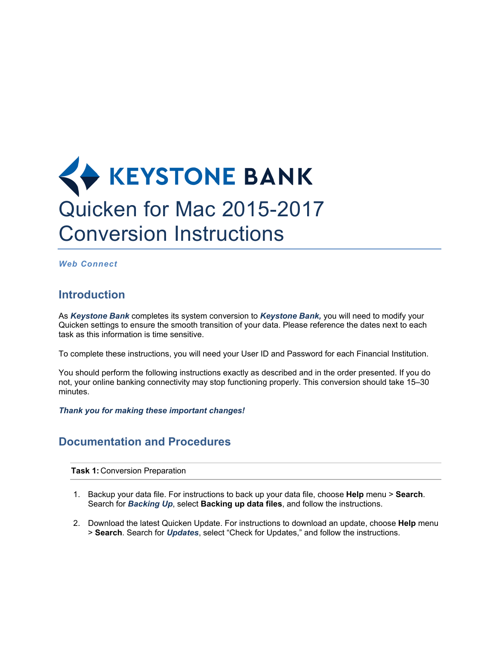## **KEYSTONE BANK** Quicken for Mac 2015-2017 Conversion Instructions

*Web Connect*

## **Introduction**

As *Keystone Bank* completes its system conversion to *Keystone Bank,* you will need to modify your Quicken settings to ensure the smooth transition of your data. Please reference the dates next to each task as this information is time sensitive.

To complete these instructions, you will need your User ID and Password for each Financial Institution.

You should perform the following instructions exactly as described and in the order presented. If you do not, your online banking connectivity may stop functioning properly. This conversion should take 15–30 minutes.

*Thank you for making these important changes!*

## **Documentation and Procedures**

**Task 1:** Conversion Preparation

- 1. Backup your data file. For instructions to back up your data file, choose **Help** menu > **Search**. Search for *Backing Up*, select **Backing up data files**, and follow the instructions.
- 2. Download the latest Quicken Update. For instructions to download an update, choose **Help** menu > **Search**. Search for *Updates*, select "Check for Updates," and follow the instructions.